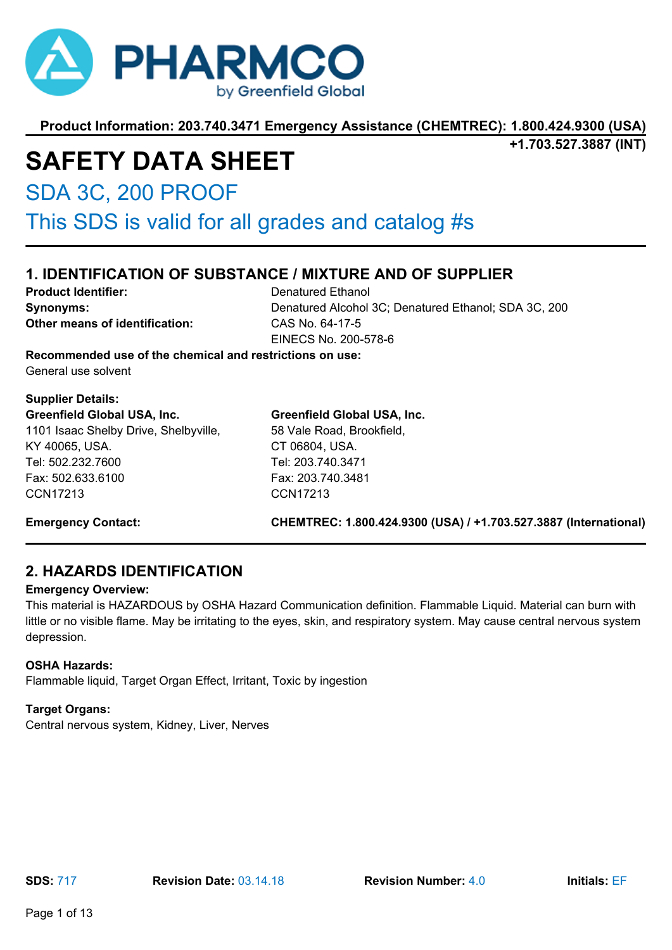

**+1.703.527.3887 (INT)**

# **SAFETY DATA SHEET**

SDA 3C, 200 PROOF

This SDS is valid for all grades and catalog #s

### **1. IDENTIFICATION OF SUBSTANCE / MIXTURE AND OF SUPPLIER**

**Product Identifier:** Denatured Ethanol **Other means of identification:** CAS No. 64-17-5

**Synonyms:** Denatured Alcohol 3C; Denatured Ethanol; SDA 3C, 200 EINECS No. 200-578-6

**Recommended use of the chemical and restrictions on use:** General use solvent

#### **Supplier Details: Greenfield Global USA, Inc.**

1101 Isaac Shelby Drive, Shelbyville, KY 40065, USA. Tel: 502.232.7600 Fax: 502.633.6100 CCN17213

#### **Greenfield Global USA, Inc.**

58 Vale Road, Brookfield, CT 06804, USA. Tel: 203.740.3471 Fax: 203.740.3481 CCN17213

**Emergency Contact: CHEMTREC: 1.800.424.9300 (USA) / +1.703.527.3887 (International)**

### **2. HAZARDS IDENTIFICATION**

#### **Emergency Overview:**

This material is HAZARDOUS by OSHA Hazard Communication definition. Flammable Liquid. Material can burn with little or no visible flame. May be irritating to the eyes, skin, and respiratory system. May cause central nervous system depression.

#### **OSHA Hazards:**

Flammable liquid, Target Organ Effect, Irritant, Toxic by ingestion

#### **Target Organs:**

Central nervous system, Kidney, Liver, Nerves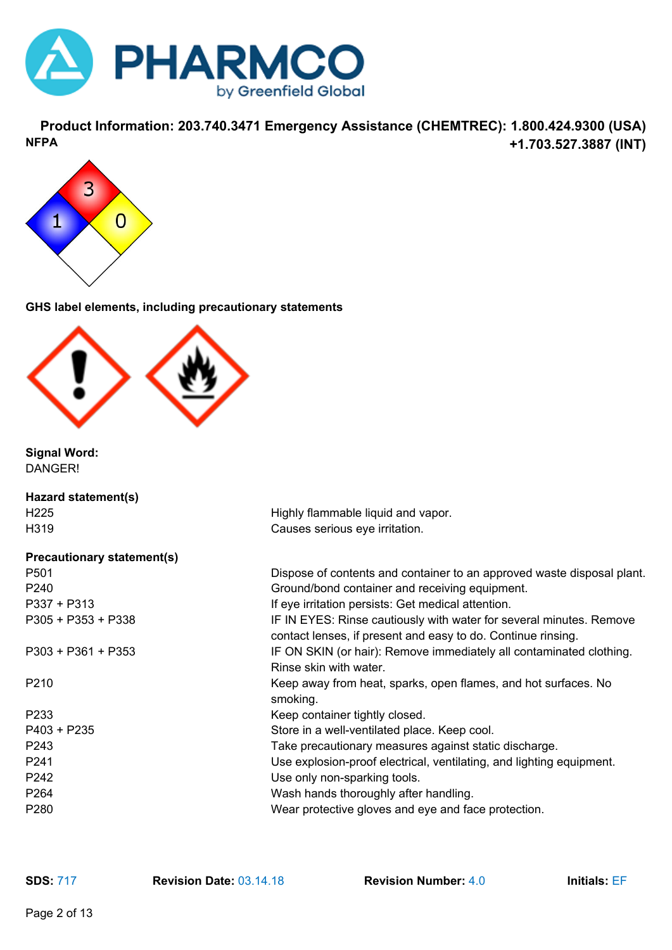

**Product Information: 203.740.3471 Emergency Assistance (CHEMTREC): 1.800.424.9300 (USA) +1.703.527.3887 (INT) NFPA**



**GHS label elements, including precautionary statements**



**Signal Word:** DANGER!

| Hazard statement(s)               |                                                                                                                                     |
|-----------------------------------|-------------------------------------------------------------------------------------------------------------------------------------|
| H <sub>225</sub>                  | Highly flammable liquid and vapor.                                                                                                  |
| H319                              | Causes serious eye irritation.                                                                                                      |
| <b>Precautionary statement(s)</b> |                                                                                                                                     |
| P501                              | Dispose of contents and container to an approved waste disposal plant.                                                              |
| P240                              | Ground/bond container and receiving equipment.                                                                                      |
| $P337 + P313$                     | If eye irritation persists: Get medical attention.                                                                                  |
| P305 + P353 + P338                | IF IN EYES: Rinse cautiously with water for several minutes. Remove<br>contact lenses, if present and easy to do. Continue rinsing. |
| $P303 + P361 + P353$              | IF ON SKIN (or hair): Remove immediately all contaminated clothing.<br>Rinse skin with water.                                       |
| P210                              | Keep away from heat, sparks, open flames, and hot surfaces. No<br>smoking.                                                          |
| P233                              | Keep container tightly closed.                                                                                                      |
| $P403 + P235$                     | Store in a well-ventilated place. Keep cool.                                                                                        |
| P243                              | Take precautionary measures against static discharge.                                                                               |
| P241                              | Use explosion-proof electrical, ventilating, and lighting equipment.                                                                |
| P242                              | Use only non-sparking tools.                                                                                                        |
| P264                              | Wash hands thoroughly after handling.                                                                                               |
| P280                              | Wear protective gloves and eye and face protection.                                                                                 |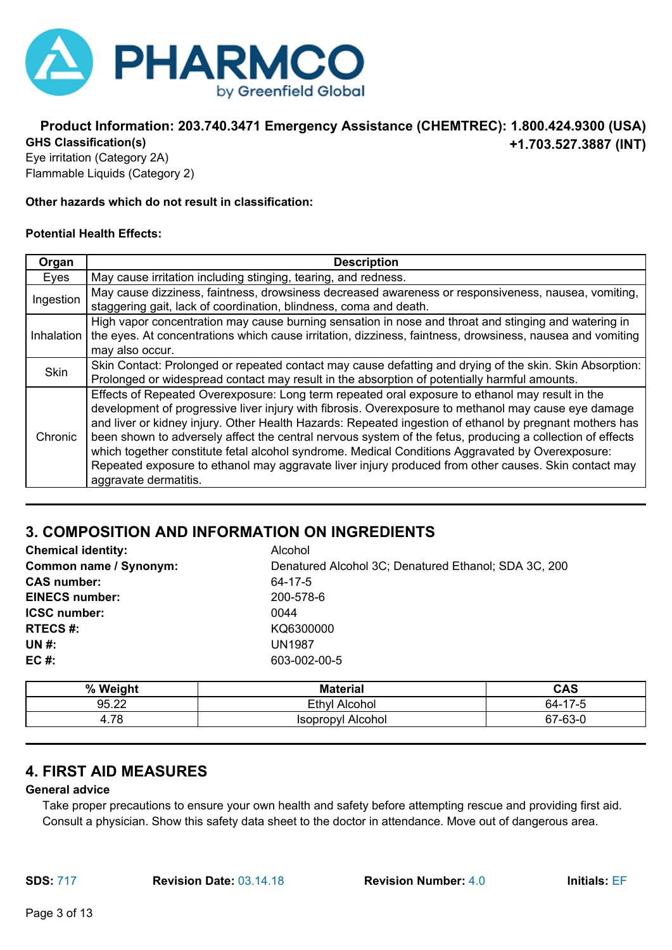

#### **Product Information: 203.740.3471 Emergency Assistance (CHEMTREC): 1.800.424.9300 (USA) +1.703.527.3887 (INT) GHS Classification(s)**

Eye irritation (Category 2A) Flammable Liquids (Category 2)

#### **Other hazards which do not result in classification:**

#### **Potential Health Effects:**

| Organ       | <b>Description</b>                                                                                        |
|-------------|-----------------------------------------------------------------------------------------------------------|
| Eyes        | May cause irritation including stinging, tearing, and redness.                                            |
| Ingestion   | May cause dizziness, faintness, drowsiness decreased awareness or responsiveness, nausea, vomiting,       |
|             | staggering gait, lack of coordination, blindness, coma and death.                                         |
|             | High vapor concentration may cause burning sensation in nose and throat and stinging and watering in      |
| Inhalation  | the eyes. At concentrations which cause irritation, dizziness, faintness, drowsiness, nausea and vomiting |
|             | may also occur.                                                                                           |
| <b>Skin</b> | Skin Contact: Prolonged or repeated contact may cause defatting and drying of the skin. Skin Absorption:  |
|             | Prolonged or widespread contact may result in the absorption of potentially harmful amounts.              |
|             | Effects of Repeated Overexposure: Long term repeated oral exposure to ethanol may result in the           |
|             | development of progressive liver injury with fibrosis. Overexposure to methanol may cause eye damage      |
| Chronic     | and liver or kidney injury. Other Health Hazards: Repeated ingestion of ethanol by pregnant mothers has   |
|             | been shown to adversely affect the central nervous system of the fetus, producing a collection of effects |
|             | which together constitute fetal alcohol syndrome. Medical Conditions Aggravated by Overexposure:          |
|             | Repeated exposure to ethanol may aggravate liver injury produced from other causes. Skin contact may      |
|             | aggravate dermatitis.                                                                                     |

### **3. COMPOSITION AND INFORMATION ON INGREDIENTS**

| <b>Chemical identity:</b> | Alcohol                                              |
|---------------------------|------------------------------------------------------|
| Common name / Synonym:    | Denatured Alcohol 3C; Denatured Ethanol; SDA 3C, 200 |
| <b>CAS number:</b>        | 64-17-5                                              |
| <b>EINECS number:</b>     | 200-578-6                                            |
| <b>ICSC number:</b>       | 0044                                                 |
| <b>RTECS#:</b>            | KQ6300000                                            |
| <b>UN#:</b>               | <b>UN1987</b>                                        |
| $EC#$ :                   | 603-002-00-5                                         |

| % Weight | <b>Material</b>      | <b>CAS</b>                |
|----------|----------------------|---------------------------|
| 95.22    | Ethyl Alcohol        | $64 - 17$<br>E<br>$1 - 3$ |
| 4.78     | Alcohol<br>Isopropyl | 67-63-0                   |

### **4. FIRST AID MEASURES**

#### **General advice**

Take proper precautions to ensure your own health and safety before attempting rescue and providing first aid. Consult a physician. Show this safety data sheet to the doctor in attendance. Move out of dangerous area.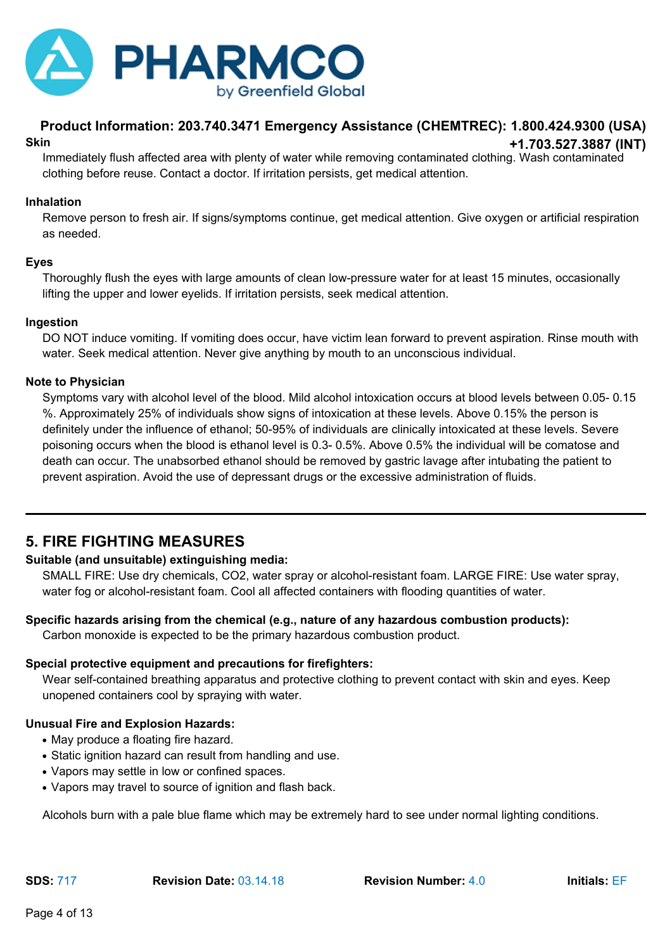

#### **Product Information: 203.740.3471 Emergency Assistance (CHEMTREC): 1.800.424.9300 (USA) +1.703.527.3887 (INT) Skin**

Immediately flush affected area with plenty of water while removing contaminated clothing. Wash contaminated clothing before reuse. Contact a doctor. If irritation persists, get medical attention.

#### **Inhalation**

Remove person to fresh air. If signs/symptoms continue, get medical attention. Give oxygen or artificial respiration as needed.

#### **Eyes**

Thoroughly flush the eyes with large amounts of clean low-pressure water for at least 15 minutes, occasionally lifting the upper and lower eyelids. If irritation persists, seek medical attention.

#### **Ingestion**

DO NOT induce vomiting. If vomiting does occur, have victim lean forward to prevent aspiration. Rinse mouth with water. Seek medical attention. Never give anything by mouth to an unconscious individual.

#### **Note to Physician**

Symptoms vary with alcohol level of the blood. Mild alcohol intoxication occurs at blood levels between 0.05- 0.15 %. Approximately 25% of individuals show signs of intoxication at these levels. Above 0.15% the person is definitely under the influence of ethanol; 50-95% of individuals are clinically intoxicated at these levels. Severe poisoning occurs when the blood is ethanol level is 0.3- 0.5%. Above 0.5% the individual will be comatose and death can occur. The unabsorbed ethanol should be removed by gastric lavage after intubating the patient to prevent aspiration. Avoid the use of depressant drugs or the excessive administration of fluids.

### **5. FIRE FIGHTING MEASURES**

#### **Suitable (and unsuitable) extinguishing media:**

SMALL FIRE: Use dry chemicals, CO2, water spray or alcohol-resistant foam. LARGE FIRE: Use water spray, water fog or alcohol-resistant foam. Cool all affected containers with flooding quantities of water.

#### **Specific hazards arising from the chemical (e.g., nature of any hazardous combustion products):**

Carbon monoxide is expected to be the primary hazardous combustion product.

#### **Special protective equipment and precautions for firefighters:**

Wear self-contained breathing apparatus and protective clothing to prevent contact with skin and eyes. Keep unopened containers cool by spraying with water.

#### **Unusual Fire and Explosion Hazards:**

- May produce a floating fire hazard.
- Static ignition hazard can result from handling and use.
- Vapors may settle in low or confined spaces.
- Vapors may travel to source of ignition and flash back.

Alcohols burn with a pale blue flame which may be extremely hard to see under normal lighting conditions.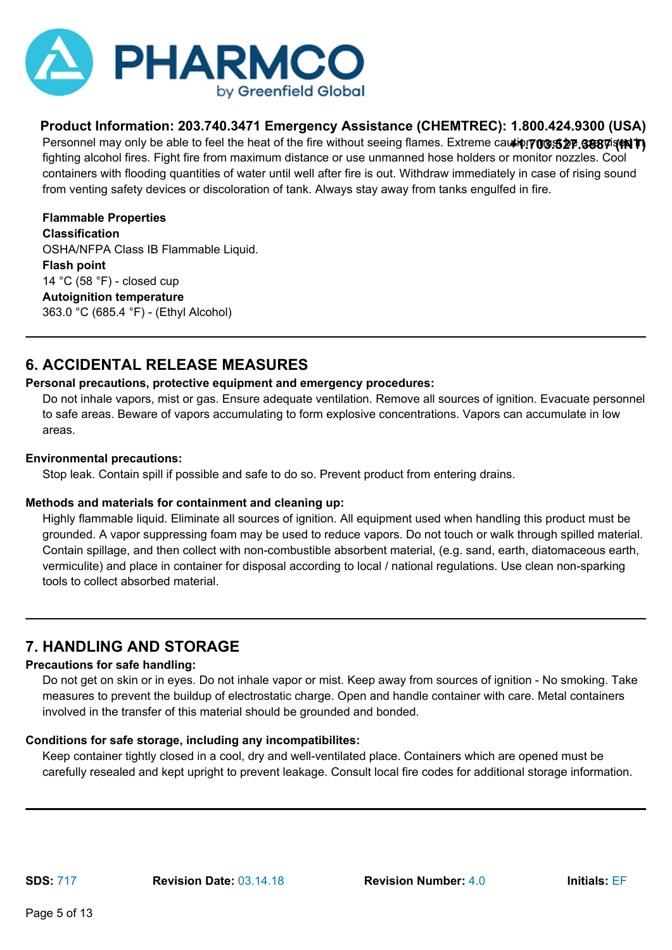

Personnel may only be able to feel the heat of the fire without seeing flames. Extreme ca**ution on st 27.3887 (NT)** fighting alcohol fires. Fight fire from maximum distance or use unmanned hose holders or monitor nozzles. Cool containers with flooding quantities of water until well after fire is out. Withdraw immediately in case of rising sound from venting safety devices or discoloration of tank. Always stay away from tanks engulfed in fire.

**Flammable Properties Classification** OSHA/NFPA Class IB Flammable Liquid. **Flash point** 14 °C (58 °F) - closed cup **Autoignition temperature** 363.0 °C (685.4 °F) - (Ethyl Alcohol)

### **6. ACCIDENTAL RELEASE MEASURES**

#### **Personal precautions, protective equipment and emergency procedures:**

Do not inhale vapors, mist or gas. Ensure adequate ventilation. Remove all sources of ignition. Evacuate personnel to safe areas. Beware of vapors accumulating to form explosive concentrations. Vapors can accumulate in low areas.

#### **Environmental precautions:**

Stop leak. Contain spill if possible and safe to do so. Prevent product from entering drains.

#### **Methods and materials for containment and cleaning up:**

Highly flammable liquid. Eliminate all sources of ignition. All equipment used when handling this product must be grounded. A vapor suppressing foam may be used to reduce vapors. Do not touch or walk through spilled material. Contain spillage, and then collect with non-combustible absorbent material, (e.g. sand, earth, diatomaceous earth, vermiculite) and place in container for disposal according to local / national regulations. Use clean non-sparking tools to collect absorbed material.

### **7. HANDLING AND STORAGE**

#### **Precautions for safe handling:**

Do not get on skin or in eyes. Do not inhale vapor or mist. Keep away from sources of ignition - No smoking. Take measures to prevent the buildup of electrostatic charge. Open and handle container with care. Metal containers involved in the transfer of this material should be grounded and bonded.

#### **Conditions for safe storage, including any incompatibilites:**

Keep container tightly closed in a cool, dry and well-ventilated place. Containers which are opened must be carefully resealed and kept upright to prevent leakage. Consult local fire codes for additional storage information.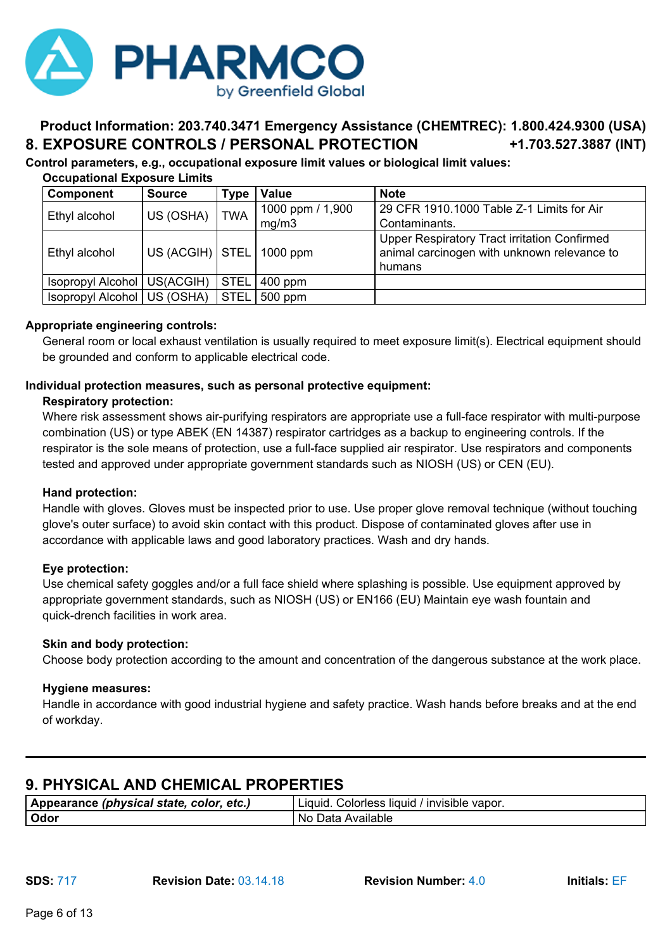

#### **Product Information: 203.740.3471 Emergency Assistance (CHEMTREC): 1.800.424.9300 (USA) +1.703.527.3887 (INT) 8. EXPOSURE CONTROLS / PERSONAL PROTECTION**

**Control parameters, e.g., occupational exposure limit values or biological limit values:**

| <b>Component</b>              | <b>Source</b>                | Type        | <b>Value</b>     | <b>Note</b>                                  |
|-------------------------------|------------------------------|-------------|------------------|----------------------------------------------|
| Ethyl alcohol                 | US (OSHA)                    | <b>TWA</b>  | 1000 ppm / 1,900 | 29 CFR 1910.1000 Table Z-1 Limits for Air    |
|                               |                              |             | mg/m3            | Contaminants.                                |
|                               |                              |             |                  | Upper Respiratory Tract irritation Confirmed |
| Ethyl alcohol                 | US (ACGIH)   STEL   1000 ppm |             |                  | animal carcinogen with unknown relevance to  |
|                               |                              |             |                  | humans                                       |
| Isopropyl Alcohol   US(ACGIH) |                              | <b>STEL</b> | $400$ ppm        |                                              |
| Isopropyl Alcohol   US (OSHA) |                              | <b>STEL</b> | $500$ ppm        |                                              |

#### **Occupational Exposure Limits**

#### **Appropriate engineering controls:**

General room or local exhaust ventilation is usually required to meet exposure limit(s). Electrical equipment should be grounded and conform to applicable electrical code.

#### **Individual protection measures, such as personal protective equipment:**

#### **Respiratory protection:**

Where risk assessment shows air-purifying respirators are appropriate use a full-face respirator with multi-purpose combination (US) or type ABEK (EN 14387) respirator cartridges as a backup to engineering controls. If the respirator is the sole means of protection, use a full-face supplied air respirator. Use respirators and components tested and approved under appropriate government standards such as NIOSH (US) or CEN (EU).

#### **Hand protection:**

Handle with gloves. Gloves must be inspected prior to use. Use proper glove removal technique (without touching glove's outer surface) to avoid skin contact with this product. Dispose of contaminated gloves after use in accordance with applicable laws and good laboratory practices. Wash and dry hands.

#### **Eye protection:**

Use chemical safety goggles and/or a full face shield where splashing is possible. Use equipment approved by appropriate government standards, such as NIOSH (US) or EN166 (EU) Maintain eye wash fountain and quick-drench facilities in work area.

#### **Skin and body protection:**

Choose body protection according to the amount and concentration of the dangerous substance at the work place.

#### **Hygiene measures:**

Handle in accordance with good industrial hygiene and safety practice. Wash hands before breaks and at the end of workday.

### **9. PHYSICAL AND CHEMICAL PROPERTIES**

| Appearance (physical state, color, etc.) | Colorless liquid /<br>Invisible vapor.<br>Liauid. |
|------------------------------------------|---------------------------------------------------|
| Odor                                     | Available<br>. No Data                            |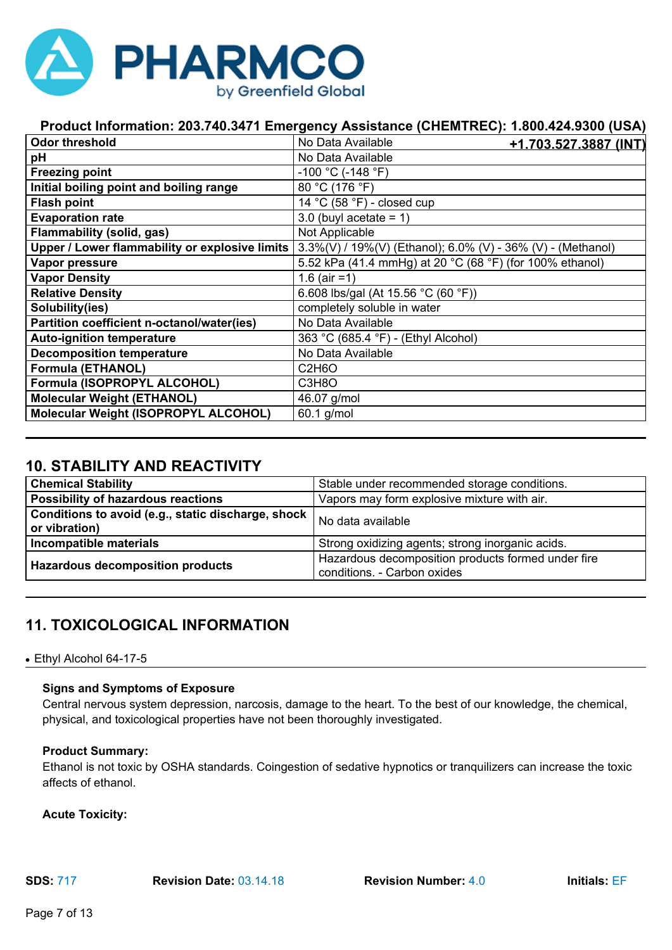

| <b>Odor threshold</b>                          | No Data Available<br><u>+1.703.527.3887 (INT)</u>           |
|------------------------------------------------|-------------------------------------------------------------|
| рH                                             | No Data Available                                           |
| <b>Freezing point</b>                          | $-100$ °C (-148 °F)                                         |
| Initial boiling point and boiling range        | 80 °C (176 °F)                                              |
| <b>Flash point</b>                             | 14 °C (58 °F) - closed cup                                  |
| <b>Evaporation rate</b>                        | 3.0 (buyl acetate $= 1$ )                                   |
| Flammability (solid, gas)                      | Not Applicable                                              |
| Upper / Lower flammability or explosive limits | 3.3%(V) / 19%(V) (Ethanol); 6.0% (V) - 36% (V) - (Methanol) |
| Vapor pressure                                 | 5.52 kPa (41.4 mmHg) at 20 °C (68 °F) (for 100% ethanol)    |
| <b>Vapor Density</b>                           | 1.6 (air = 1)                                               |
| <b>Relative Density</b>                        | 6.608 lbs/gal (At 15.56 °C (60 °F))                         |
| Solubility(ies)                                | completely soluble in water                                 |
| Partition coefficient n-octanol/water(ies)     | No Data Available                                           |
| <b>Auto-ignition temperature</b>               | 363 °C (685.4 °F) - (Ethyl Alcohol)                         |
| <b>Decomposition temperature</b>               | No Data Available                                           |
| <b>Formula (ETHANOL)</b>                       | C <sub>2</sub> H <sub>6</sub> O                             |
| Formula (ISOPROPYL ALCOHOL)                    | C3H8O                                                       |
| <b>Molecular Weight (ETHANOL)</b>              | 46.07 g/mol                                                 |
| Molecular Weight (ISOPROPYL ALCOHOL)           | 60.1 g/mol                                                  |

### **10. STABILITY AND REACTIVITY**

| <b>Chemical Stability</b>                                           | Stable under recommended storage conditions.                                      |
|---------------------------------------------------------------------|-----------------------------------------------------------------------------------|
| Possibility of hazardous reactions                                  | Vapors may form explosive mixture with air.                                       |
| Conditions to avoid (e.g., static discharge, shock<br>or vibration) | No data available                                                                 |
| Incompatible materials                                              | Strong oxidizing agents; strong inorganic acids.                                  |
| <b>Hazardous decomposition products</b>                             | Hazardous decomposition products formed under fire<br>conditions. - Carbon oxides |

### **11. TOXICOLOGICAL INFORMATION**

#### • Ethyl Alcohol 64-17-5

#### **Signs and Symptoms of Exposure**

Central nervous system depression, narcosis, damage to the heart. To the best of our knowledge, the chemical, physical, and toxicological properties have not been thoroughly investigated.

#### **Product Summary:**

Ethanol is not toxic by OSHA standards. Coingestion of sedative hypnotics or tranquilizers can increase the toxic affects of ethanol.

**Acute Toxicity:**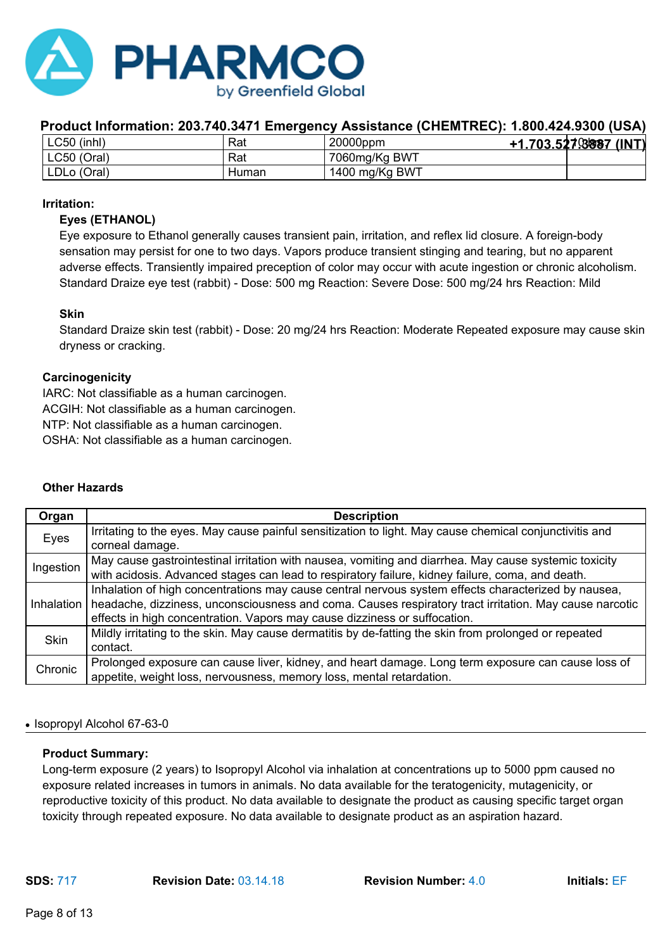

| LC50 (inhl) | Rat   | 20000ppm       | +1.703.527.8887 (INT) |  |
|-------------|-------|----------------|-----------------------|--|
| LC50 (Oral) | Rat   | 7060mg/Kg BWT  |                       |  |
| LDLo (Oral) | Human | 1400 mg/Kg BWT |                       |  |

#### **Irritation:**

#### **Eyes (ETHANOL)**

Eye exposure to Ethanol generally causes transient pain, irritation, and reflex lid closure. A foreign-body sensation may persist for one to two days. Vapors produce transient stinging and tearing, but no apparent adverse effects. Transiently impaired preception of color may occur with acute ingestion or chronic alcoholism. Standard Draize eye test (rabbit) - Dose: 500 mg Reaction: Severe Dose: 500 mg/24 hrs Reaction: Mild

#### **Skin**

Standard Draize skin test (rabbit) - Dose: 20 mg/24 hrs Reaction: Moderate Repeated exposure may cause skin dryness or cracking.

#### **Carcinogenicity**

IARC: Not classifiable as a human carcinogen. ACGIH: Not classifiable as a human carcinogen. NTP: Not classifiable as a human carcinogen. OSHA: Not classifiable as a human carcinogen.

#### **Other Hazards**

| Organ       | <b>Description</b>                                                                                      |
|-------------|---------------------------------------------------------------------------------------------------------|
| Eyes        | Irritating to the eyes. May cause painful sensitization to light. May cause chemical conjunctivitis and |
|             | corneal damage.                                                                                         |
| Ingestion   | May cause gastrointestinal irritation with nausea, vomiting and diarrhea. May cause systemic toxicity   |
|             | with acidosis. Advanced stages can lead to respiratory failure, kidney failure, coma, and death.        |
|             | Inhalation of high concentrations may cause central nervous system effects characterized by nausea,     |
| Inhalation  | headache, dizziness, unconsciousness and coma. Causes respiratory tract irritation. May cause narcotic  |
|             | effects in high concentration. Vapors may cause dizziness or suffocation.                               |
| <b>Skin</b> | Mildly irritating to the skin. May cause dermatitis by de-fatting the skin from prolonged or repeated   |
|             | contact.                                                                                                |
| Chronic     | Prolonged exposure can cause liver, kidney, and heart damage. Long term exposure can cause loss of      |
|             | appetite, weight loss, nervousness, memory loss, mental retardation.                                    |

#### ● Isopropyl Alcohol 67-63-0

#### **Product Summary:**

Long-term exposure (2 years) to Isopropyl Alcohol via inhalation at concentrations up to 5000 ppm caused no exposure related increases in tumors in animals. No data available for the teratogenicity, mutagenicity, or reproductive toxicity of this product. No data available to designate the product as causing specific target organ toxicity through repeated exposure. No data available to designate product as an aspiration hazard.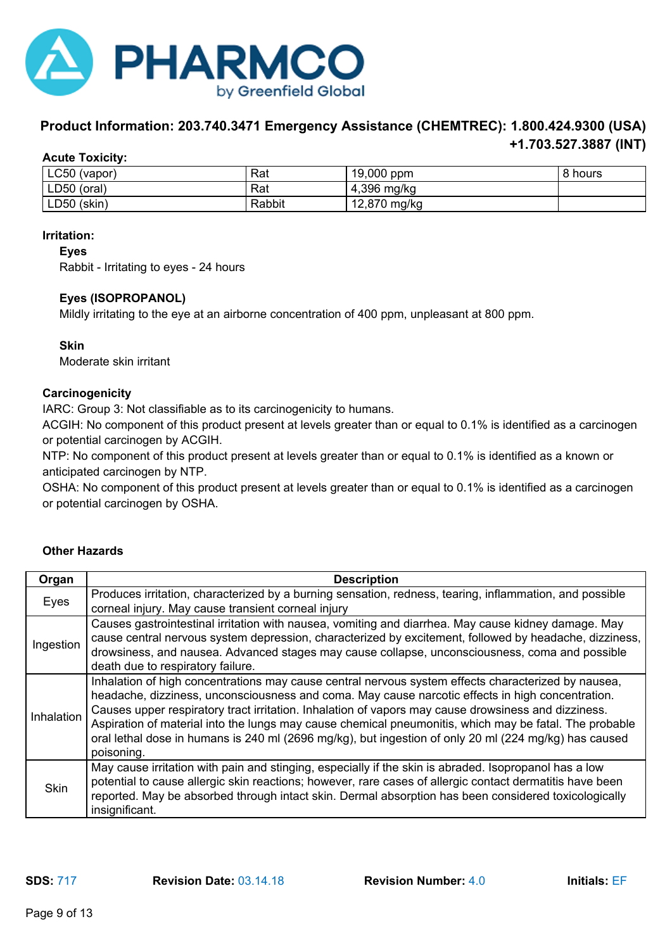

#### **Product Information: 203.740.3471 Emergency Assistance (CHEMTREC): 1.800.424.9300 (USA) +1.703.527.3887 (INT)**

#### **Acute Toxicity:**

| $LC50$ (vapor) | Rat    | 19,000 ppm      | l 8 hours |
|----------------|--------|-----------------|-----------|
| LD50 (oral)    | Rat    | 4,396 mg/kg     |           |
| LD50 (skin)    | Rabbit | 12,870<br>mg/kg |           |

#### **Irritation:**

**Eyes**

Rabbit - Irritating to eyes - 24 hours

#### **Eyes (ISOPROPANOL)**

Mildly irritating to the eye at an airborne concentration of 400 ppm, unpleasant at 800 ppm.

#### **Skin**

Moderate skin irritant

#### **Carcinogenicity**

IARC: Group 3: Not classifiable as to its carcinogenicity to humans.

ACGIH: No component of this product present at levels greater than or equal to 0.1% is identified as a carcinogen or potential carcinogen by ACGIH.

NTP: No component of this product present at levels greater than or equal to 0.1% is identified as a known or anticipated carcinogen by NTP.

OSHA: No component of this product present at levels greater than or equal to 0.1% is identified as a carcinogen or potential carcinogen by OSHA.

#### **Other Hazards**

| Organ       | <b>Description</b>                                                                                                                                                                                                                                                                                                                                                                                                                                                                                                                              |
|-------------|-------------------------------------------------------------------------------------------------------------------------------------------------------------------------------------------------------------------------------------------------------------------------------------------------------------------------------------------------------------------------------------------------------------------------------------------------------------------------------------------------------------------------------------------------|
| Eyes        | Produces irritation, characterized by a burning sensation, redness, tearing, inflammation, and possible<br>corneal injury. May cause transient corneal injury                                                                                                                                                                                                                                                                                                                                                                                   |
| Ingestion   | Causes gastrointestinal irritation with nausea, vomiting and diarrhea. May cause kidney damage. May<br>cause central nervous system depression, characterized by excitement, followed by headache, dizziness,<br>drowsiness, and nausea. Advanced stages may cause collapse, unconsciousness, coma and possible<br>death due to respiratory failure.                                                                                                                                                                                            |
| Inhalation  | Inhalation of high concentrations may cause central nervous system effects characterized by nausea,<br>headache, dizziness, unconsciousness and coma. May cause narcotic effects in high concentration.<br>Causes upper respiratory tract irritation. Inhalation of vapors may cause drowsiness and dizziness.<br>Aspiration of material into the lungs may cause chemical pneumonitis, which may be fatal. The probable<br>oral lethal dose in humans is 240 ml (2696 mg/kg), but ingestion of only 20 ml (224 mg/kg) has caused<br>poisoning. |
| <b>Skin</b> | May cause irritation with pain and stinging, especially if the skin is abraded. Isopropanol has a low<br>potential to cause allergic skin reactions; however, rare cases of allergic contact dermatitis have been<br>reported. May be absorbed through intact skin. Dermal absorption has been considered toxicologically<br>insignificant.                                                                                                                                                                                                     |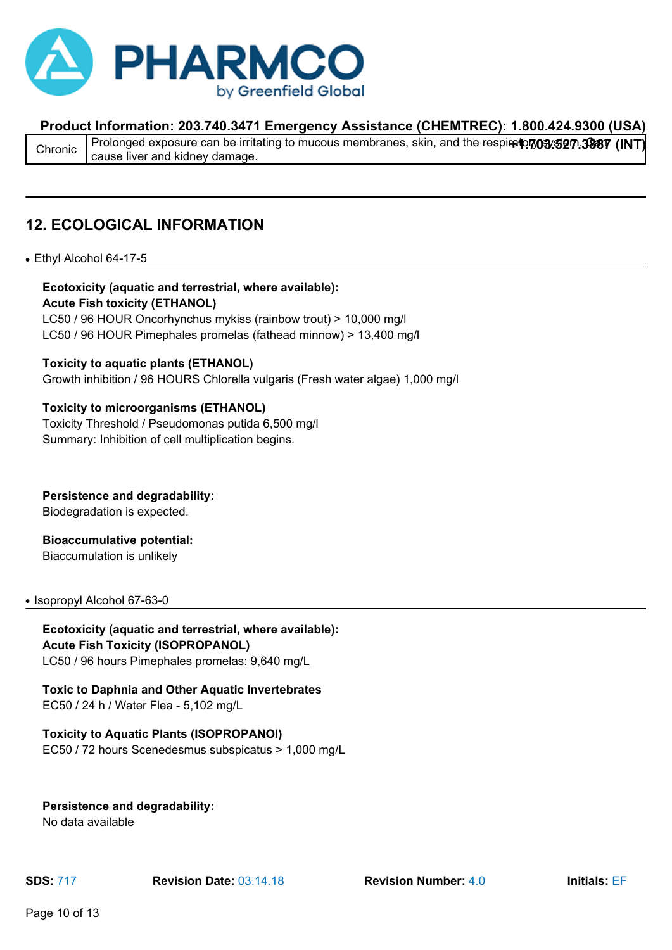

Chronic Prolonged exposure can be irritating to mucous membranes, skin, and the respiretory 3337 (INT)<br>Chronic Pesuse liver and kidney demase cause liver and kidney damage.

### **12. ECOLOGICAL INFORMATION**

#### • Ethyl Alcohol 64-17-5

### **Ecotoxicity (aquatic and terrestrial, where available): Acute Fish toxicity (ETHANOL)**

LC50 / 96 HOUR Oncorhynchus mykiss (rainbow trout) > 10,000 mg/l LC50 / 96 HOUR Pimephales promelas (fathead minnow) > 13,400 mg/l

#### **Toxicity to aquatic plants (ETHANOL)**

Growth inhibition / 96 HOURS Chlorella vulgaris (Fresh water algae) 1,000 mg/l

#### **Toxicity to microorganisms (ETHANOL)**

Toxicity Threshold / Pseudomonas putida 6,500 mg/l Summary: Inhibition of cell multiplication begins.

### **Persistence and degradability:**

Biodegradation is expected.

#### **Bioaccumulative potential:**

Biaccumulation is unlikely

#### • Isopropyl Alcohol 67-63-0

#### **Ecotoxicity (aquatic and terrestrial, where available): Acute Fish Toxicity (ISOPROPANOL)** LC50 / 96 hours Pimephales promelas: 9,640 mg/L

#### **Toxic to Daphnia and Other Aquatic Invertebrates** EC50 / 24 h / Water Flea - 5,102 mg/L

### **Toxicity to Aquatic Plants (ISOPROPANOl)**

EC50 / 72 hours Scenedesmus subspicatus > 1,000 mg/L

#### **Persistence and degradability:**

No data available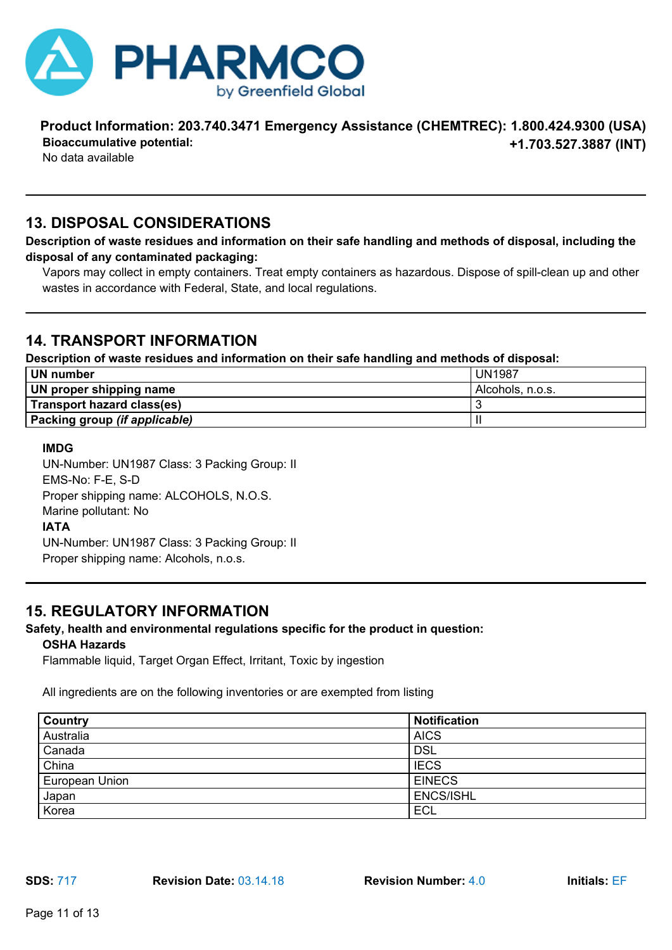

#### **Product Information: 203.740.3471 Emergency Assistance (CHEMTREC): 1.800.424.9300 (USA) Bioaccumulative potential:**

No data available

## **+1.703.527.3887 (INT)**

### **13. DISPOSAL CONSIDERATIONS**

**Description of waste residues and information on their safe handling and methods of disposal, including the disposal of any contaminated packaging:**

Vapors may collect in empty containers. Treat empty containers as hazardous. Dispose of spill-clean up and other wastes in accordance with Federal, State, and local regulations.

### **14. TRANSPORT INFORMATION**

**Description of waste residues and information on their safe handling and methods of disposal:**

| <b>UN</b> number              | <b>UN1987</b>    |
|-------------------------------|------------------|
| UN proper shipping name       | Alcohols, n.o.s. |
| Transport hazard class(es)    |                  |
| Packing group (if applicable) |                  |

#### **IMDG**

UN-Number: UN1987 Class: 3 Packing Group: II EMS-No: F-E, S-D Proper shipping name: ALCOHOLS, N.O.S. Marine pollutant: No **IATA** UN-Number: UN1987 Class: 3 Packing Group: II Proper shipping name: Alcohols, n.o.s.

### **15. REGULATORY INFORMATION**

#### **Safety, health and environmental regulations specific for the product in question:**

#### **OSHA Hazards**

Flammable liquid, Target Organ Effect, Irritant, Toxic by ingestion

All ingredients are on the following inventories or are exempted from listing

| <b>Country</b> | <b>Notification</b> |
|----------------|---------------------|
| Australia      | <b>AICS</b>         |
| Canada         | <b>DSL</b>          |
| China          | <b>IECS</b>         |
| European Union | <b>EINECS</b>       |
| Japan          | <b>ENCS/ISHL</b>    |
| Korea          | <b>ECL</b>          |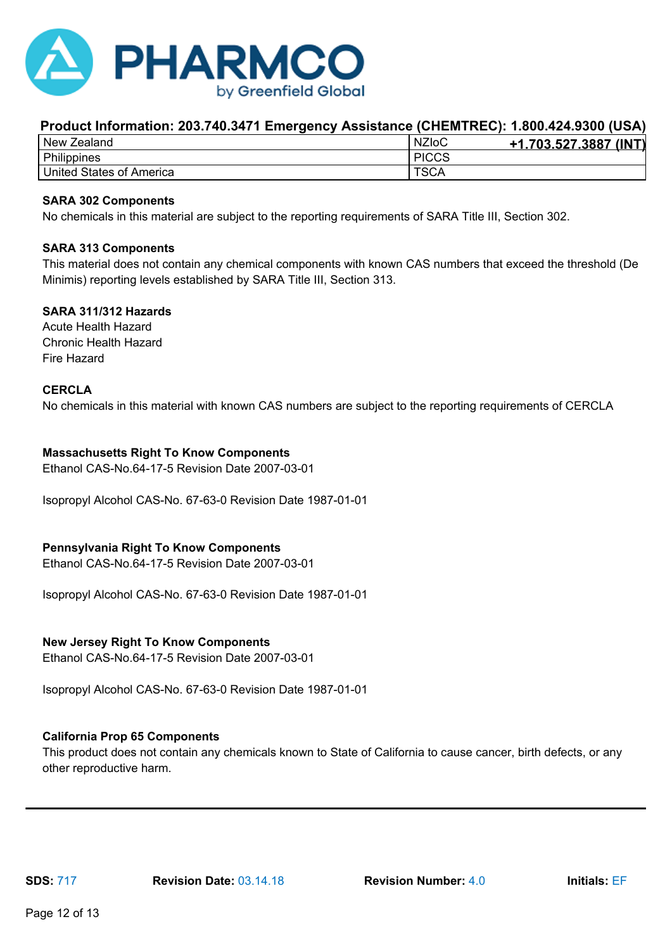

| New<br>Zealand                       | <b>NZIoC</b> | (INT)<br>.703.527.3887 |
|--------------------------------------|--------------|------------------------|
| Philippines                          | <b>PICCS</b> |                        |
| <b>United States</b><br>। of America | TSCA         |                        |

#### **SARA 302 Components**

No chemicals in this material are subject to the reporting requirements of SARA Title III, Section 302.

#### **SARA 313 Components**

This material does not contain any chemical components with known CAS numbers that exceed the threshold (De Minimis) reporting levels established by SARA Title III, Section 313.

#### **SARA 311/312 Hazards**

Acute Health Hazard Chronic Health Hazard Fire Hazard

#### **CERCLA**

No chemicals in this material with known CAS numbers are subject to the reporting requirements of CERCLA

#### **Massachusetts Right To Know Components**

Ethanol CAS-No.64-17-5 Revision Date 2007-03-01

Isopropyl Alcohol CAS-No. 67-63-0 Revision Date 1987-01-01

#### **Pennsylvania Right To Know Components**

Ethanol CAS-No.64-17-5 Revision Date 2007-03-01

Isopropyl Alcohol CAS-No. 67-63-0 Revision Date 1987-01-01

#### **New Jersey Right To Know Components**

Ethanol CAS-No.64-17-5 Revision Date 2007-03-01

Isopropyl Alcohol CAS-No. 67-63-0 Revision Date 1987-01-01

#### **California Prop 65 Components**

This product does not contain any chemicals known to State of California to cause cancer, birth defects, or any other reproductive harm.